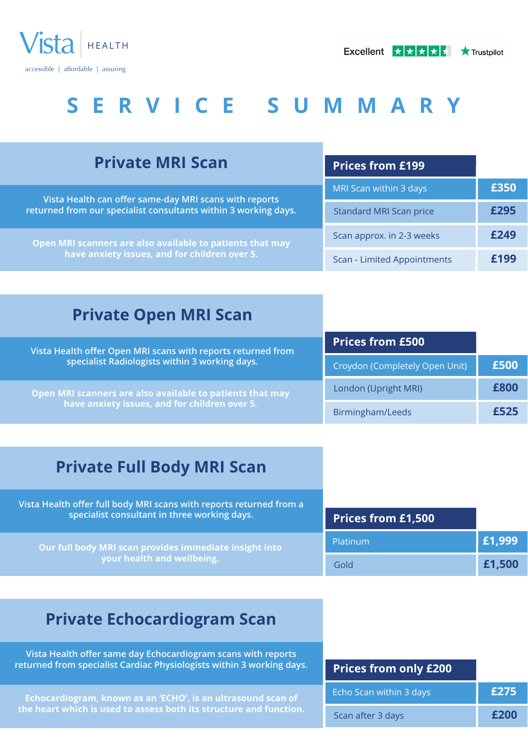

| <b>Private MRI Scan</b>                                                                                                   | <b>Prices from £199</b>        |      |
|---------------------------------------------------------------------------------------------------------------------------|--------------------------------|------|
| Vista Health can offer same-day MRI scans with reports<br>returned from our specialist consultants within 3 working days. | MRI Scan within 3 days         | £350 |
|                                                                                                                           | <b>Standard MRI Scan price</b> | £295 |
| Open MRI scanners are also available to patients that may<br>have anxiety issues, and for children over 5.                | Scan approx. in 2-3 weeks      | £249 |
|                                                                                                                           | Scan - Limited Appointments    | F100 |
|                                                                                                                           |                                |      |

## **Private Open MRI Scan**

| Vista Health offer Open MRI scans with reports returned from<br>specialist Radiologists within 3 working days. | <b>Prices from £500</b>        |      |
|----------------------------------------------------------------------------------------------------------------|--------------------------------|------|
|                                                                                                                | Croydon (Completely Open Unit) | £500 |
| Open MRI scanners are also available to patients that may<br>have anxiety issues, and for children over 5.     | London (Upright MRI)           | £800 |
|                                                                                                                | Birmingham/Leeds               | £525 |

## **Private Full Body MRI Scan**

| Vista Health offer full body MRI scans with reports returned from a<br>specialist consultant in three working days. | <b>Prices from £1,500</b> |        |
|---------------------------------------------------------------------------------------------------------------------|---------------------------|--------|
| Our full body MRI scan provides immediate insight into                                                              | Platinum                  | £1,999 |
| your health and wellbeing.                                                                                          | Gold                      | £1,500 |

## **Private Echocardiogram Scan**

**Vista Health offer same day Echocardiogram scans with reports returned from specialist Cardiac Physiologists within 3 working days.**

**Echocardiogram, known as an 'ECHO', is an ultrasound scan of the heart which is used to assess both its structure and function.**

| <b>Prices from only £200</b> |      |
|------------------------------|------|
| Echo Scan within 3 days      | £275 |
| Scan after 3 days            | £200 |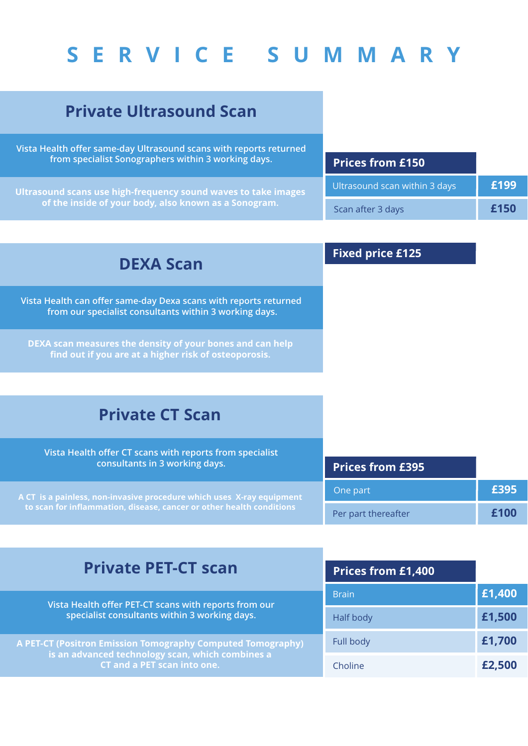## **Private Ultrasound Scan**

**Vista Health offer same-day Ultrasound scans with reports returned from specialist Sonographers within 3 working days.**

**Ultrasound scans use high-frequency sound waves to take images of the inside of your body, also known as a Sonogram.**

| <b>Prices from £150</b>       |      |
|-------------------------------|------|
| Ultrasound scan within 3 days | £199 |
| Scan after 3 days             | £150 |

### **DEXA Scan**

**Vista Health can offer same-day Dexa scans with reports returned from our specialist consultants within 3 working days.**

**DEXA scan measures the density of your bones and can help find out if you are at a higher risk of osteoporosis.**

### **Fixed price £125**

### **Private CT Scan**

| Vista Health offer CT scans with reports from specialist<br>consultants in 3 working days. | <b>Prices from £395</b> |      |
|--------------------------------------------------------------------------------------------|-------------------------|------|
| A CT is a painless, non-invasive procedure which uses X-ray equipment                      | One part                | £395 |
| to scan for inflammation, disease, cancer or other health conditions                       | Per part thereafter     | £100 |

### **Private PET-CT scan**

**Vista Health offer PET-CT scans with reports from our specialist consultants within 3 working days.** 

**A PET-CT (Positron Emission Tomography Computed Tomography) is an advanced technology scan, which combines a CT and a PET scan into one.**

| <b>Prices from £1,400</b> |        |
|---------------------------|--------|
| <b>Brain</b>              | £1,400 |
| Half body                 | £1,500 |
| Full body                 | £1,700 |
| Choline                   | £2,500 |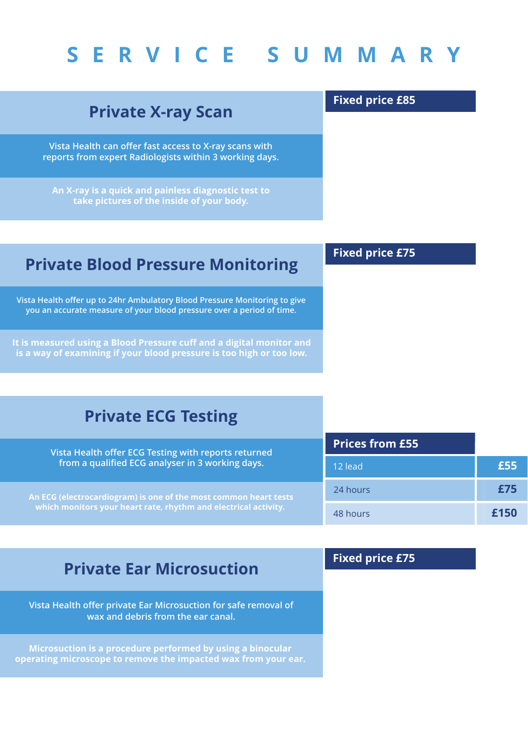## **Private X-ray Scan**

**Vista Health can offer fast access to X-ray scans with reports from expert Radiologists within 3 working days.**

**An X-ray is a quick and painless diagnostic test to take pictures of the inside of your body.**

### **Private Blood Pressure Monitoring**

**Vista Health offer up to 24hr Ambulatory Blood Pressure Monitoring to give you an accurate measure of your blood pressure over a period of time.**

**It is measured using a Blood Pressure cuff and a digital monitor and is a way of examining if your blood pressure is too high or too low.**

**Fixed price £85**

**Fixed price £75**

| <b>Private ECG Testing</b>                                                                                                          |                        |      |
|-------------------------------------------------------------------------------------------------------------------------------------|------------------------|------|
| Vista Health offer ECG Testing with reports returned<br>from a qualified ECG analyser in 3 working days.                            | <b>Prices from £55</b> |      |
|                                                                                                                                     | 12 lead                | £55  |
| An ECG (electrocardiogram) is one of the most common heart tests<br>which monitors your heart rate, rhythm and electrical activity. | 24 hours               | £75  |
|                                                                                                                                     | 48 hours               | £150 |
|                                                                                                                                     |                        |      |

### **Private Ear Microsuction**

**Vista Health offer private Ear Microsuction for safe removal of wax and debris from the ear canal.** 

**Microsuction is a procedure performed by using a binocular operating microscope to remove the impacted wax from your ear.**

### **Fixed price £75**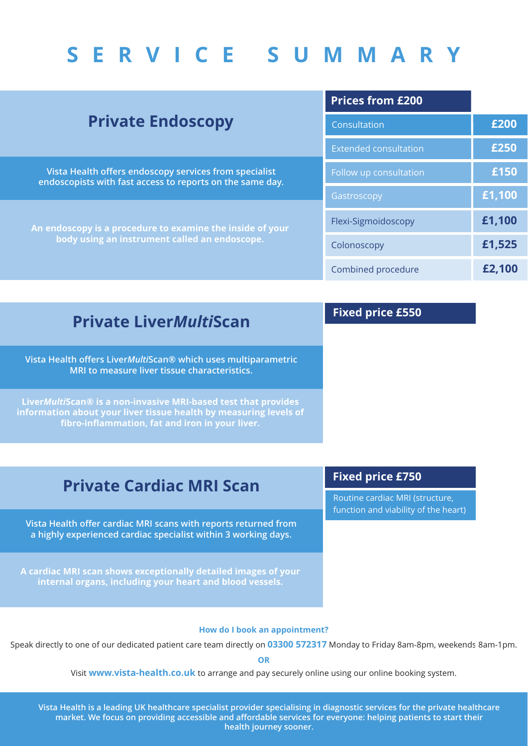| <b>Private Endoscopy</b>                                                                                            | <b>Prices from £200</b>      |        |
|---------------------------------------------------------------------------------------------------------------------|------------------------------|--------|
|                                                                                                                     | Consultation                 | £200   |
|                                                                                                                     | <b>Extended consultation</b> | £250   |
| Vista Health offers endoscopy services from specialist<br>endoscopists with fast access to reports on the same day. | Follow up consultation       | £150   |
|                                                                                                                     | Gastroscopy                  | £1,100 |
| An endoscopy is a procedure to examine the inside of your<br>body using an instrument called an endoscope.          | Flexi-Sigmoidoscopy          | £1,100 |
|                                                                                                                     | Colonoscopy                  | £1,525 |
|                                                                                                                     | Combined procedure           | £2,100 |

### **Private Liver***Multi***Scan**

**Vista Health offers Liver***Multi***Scan® which uses multiparametric MRI to measure liver tissue characteristics.**

**Liver***Multi***Scan® is a non-invasive MRI-based test that provides information about your liver tissue health by measuring levels of fibro-inflammation, fat and iron in your liver.**

### **Fixed price £550**

## **Private Cardiac MRI Scan**

**Vista Health offer cardiac MRI scans with reports returned from a highly experienced cardiac specialist within 3 working days.**

**A cardiac MRI scan shows exceptionally detailed images of your internal organs, including your heart and blood vessels.**

### **Fixed price £750**

Routine cardiac MRI (structure, function and viability of the heart)

### **How do I book an appointment?**

Speak directly to one of our dedicated patient care team directly on **03300 572317** Monday to Friday 8am-8pm, weekends 8am-1pm.

**OR**

Visit **www.vista-health.co.uk** to arrange and pay securely online using our online booking system.

**Vista Health is a leading UK healthcare specialist provider specialising in diagnostic services for the private healthcare market. We focus on providing accessible and affordable services for everyone: helping patients to start their health journey sooner.**